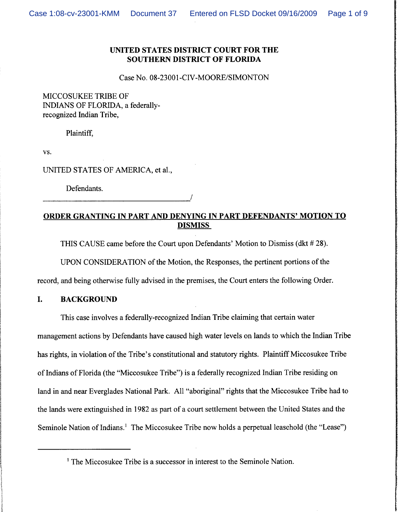# **UNITED STATES DISTRICT COURT FOR THE SOUTHERN DISTRICT OF FLORIDA**

Case No. 08-23001-CIV-MOORE/SIMONTON

MICCOSUKEE TRIBE OF INDIANS OF FLORIDA, a federallyrecognized Indian Tribe,

Plaintiff,

VS.

UNITED STATES OF AMERICA, et al.,

Defendants.

# **ORDER GRANTING IN PART AND DENYING IN PART DEFENDANTS' MOTION TO DISMISS**

THIS CAUSE came before the Court upon Defendants' Motion to Dismiss (dkt # 28).

UPON CONSIDERATION of the Motion, the Responses, the pertinent portions of the

record, and being otherwise fully advised in the premises, the Court enters the following Order.

# **I. BACKGROUND**

This case involves a federally-recognized Indian Tribe claiming that certain water management actions by Defendants have caused high water levels on lands to which the Indian Tribe has rights, in violation of the Tribe's constitutional and statutory rights. Plaintiff Miccosukee Tribe of Indians of Florida (the "Miccosukee Tribe") is a federally recognized Indian Tribe residing on land in and near Everglades National Park. All "aboriginal" rights that the Miccosukee Tribe had to the lands were extinguished in 1982 as part of a court settlement between the United States and the Seminole Nation of Indians.' The Miccosukee Tribe now holds a perpetual leasehold (the "Lease")

<sup>&</sup>lt;sup>1</sup> The Miccosukee Tribe is a successor in interest to the Seminole Nation.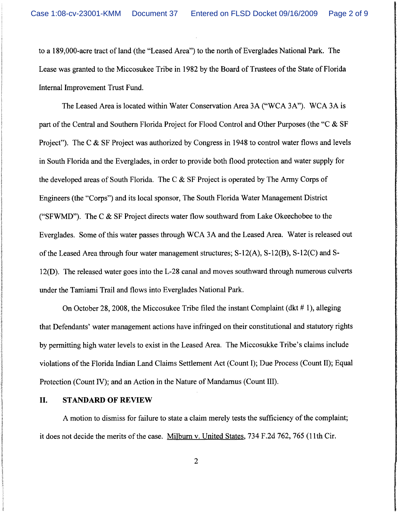to a 189,000-acre tract of land (the "Leased Area") to the north of Everglades National Park. The Lease was granted to the Miccosukee Tribe in 1982 by the Board of Trustees of the State of Florida Internal Improvement Trust Fund.

The Leased Area is located within Water Conservation Area 3A ("WCA 3A"). WCA 3A is part of the Central and Southern Florida Project for Flood Control and Other Purposes (the "C & SF Project"). The C & SF Project was authorized by Congress in 1948 to control water flows and levels in South Florida and the Everglades, in order to provide both flood protection and water supply for the developed areas of South Florida. The C & SF Project is operated by The Army Corps of Engineers (the "Corps") and its local sponsor, The South Florida Water Management District ("SFWMD"). The C  $\&$  SF Project directs water flow southward from Lake Okeechobee to the Everglades. Some of this water passes through WCA 3A and the Leased Area. Water is released out of the Leased Area through four water management structures; S-12(A), S-12(B), S-12(C) and S-12(D). The released water goes into the L-28 canal and moves southward through numerous culverts under the Tamiami Trail and flows into Everglades National Park.

On October 28,2008, the Miccosukee Tribe filed the instant Complaint (dkt # I), alleging that Defendants' water management actions have infringed on their constitutional and statutory rights by permitting high water levels to exist in the Leased Area. The Miccosukke Tribe's claims include violations of the Florida Indian Land Claims Settlement Act (Count I); Due Process (Count 11); Equal Protection (Count IV); and an Action in the Nature of Mandamus (Count 111).

### **11. STANDARD OF REVIEW**

A motion to dismiss for failure to state a claim merely tests the sufficiency of the complaint; it does not decide the merits of the case. Milburn v. United States, 734 F.2d 762,765 (1 lth Cir.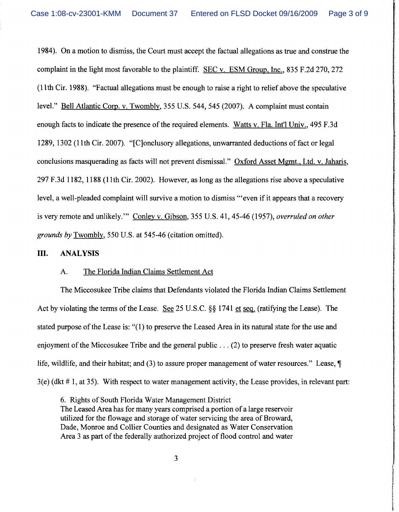1984). On a motion to dismiss, the Court must accept the factual allegations as true and construe the complaint in the light most favorable to the plaintiff. SEC v. ESM Group, Inc., 835 F.2d 270, 272 (1 I th Cir. 1988). "Factual allegations must be enough to raise a right to relief above the speculative level." Bell Atlantic Corn. V. Twombly, 355 U.S. 544, 545 (2007). A complaint must contain enough facts to indicate the presence of the required elements. Watts v. Fla. Int'l Univ., 495 F.3d 1289, 1302 (1 lth Cir. 2007). "[C]onclusory allegations, unwarranted deductions of fact or legal conclusions masquerading as facts will not prevent dismissal." Oxford Asset Mgmt., Ltd. v. Jaharis, 297 F.3d 1 182, 1 188 (I 1 th Cir. 2002). However, as long as the allegations rise above a speculative level, a well-pleaded complaint will survive a motion to dismiss "'even if it appears that a recovery is very remote and unlikely."' Conley v. Gibson, 355 U.S. 41,45-46 (1957), *overruled on other grounds by* Twomblv, 550 U.S. at 545-46 (citation omitted).

### **111. ANALYSIS**

#### A. The Florida Indian Claims Settlement Act

The Miccosukee Tribe claims that Defendants violated the Florida Indian Claims Settlement Act by violating the terms of the Lease. *See* 25 U.S.C. **\$8** 1741 et sea. (ratifying the Lease). The stated purpose of the Lease is: "(1) to preserve the Leased Area in its natural state for the use and enjoyment of the Miccosukee Tribe and the general public . . . (2) to preserve fresh water aquatic life, wildlife, and their habitat; and (3) to assure proper management of water resources." Lease, *7*  3(e) (dkt # 1, at 35). With respect to water management activity, the Lease provides, in relevant part:

6. Rights of South Florida Water Management District The Leased Area has for many years comprised a portion of a large reservoir utilized for the flowage and storage of water servicing the area of Broward, Dade, Monroe and Collier Counties and designated as Water Conservation Area 3 as part of the federally authorized project of flood control and water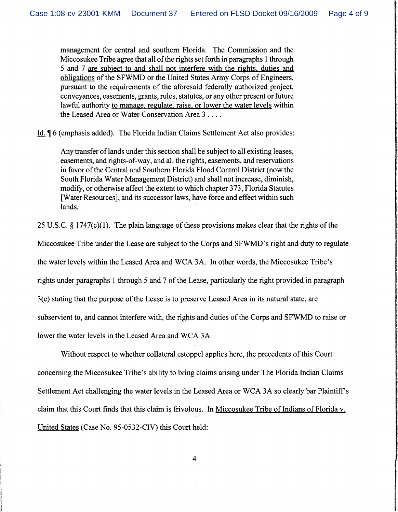management for central and southern Florida. The Commission and the Miccosukee Tribe agree that all of the rights set forth in paragraphs 1 through 5 and 7 are subiect to and shall not interfere with the rights. duties and obligations of the SFWMD or the United States Army Corps of Engineers, pursuant to the requirements of the aforesaid federally authorized project, conveyances, easements, grants, rules, statutes, or any other present or future lawful authority to manage. regulate. raise. or lower the water levels within the Leased Area or Water Conservation Area 3 . . . .

- Id. *7* 6 (emphasis added). The Florida Indian Claims Settlement Act also provides:

Any transfer of lands under this section shall be subject to all existing leases, easements, and rights-of-way, and all the rights, easements, and reservations in favor of the Central and Southern Florida Flood Control District (now the South Florida Water Management District) and shall not increase, diminish, modify, or otherwise affect the extent to which chapter 373, Florida Statutes [Water Resources], and its successor laws, have force and effect within such lands.

25 U.S.C. § 1747(c)(l). The plain language of these provisions makes clear that the rights of the

Miccosukee Tribe under the Lease are subject to the Corps and SFWMD's right and duty to regulate

the water levels within the Leased Area and WCA 3A. In other words, the Miccosukee Tribe's

rights under paragraphs 1 through 5 and 7 of the Lease, particularly the right provided in paragraph

3(e) stating that the purpose of the Lease is to preserve Leased Area in its natural state, are

subservient to, and cannot interfere with, the rights and duties of the Corps and SFWMD to raise or

lower the water levels in the Leased Area and WCA 3A.

Without respect to whether collateral estoppel applies here, the precedents of this Court concerning the Miccosukee Tribe's ability to bring claims arising under The Florida Indian Claims Settlement Act challenging the water levels in the Leased Area or WCA 3A so clearly bar Plaintiffs claim that this Court finds that this claim is frivolous. In Miccosukee Tribe of Indians of Florida v. United States (Case No. 95-0532-CIV) this Court held: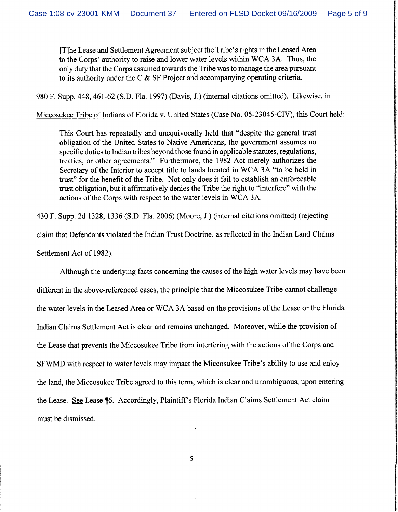[Tlhe Lease and Settlement Agreement subject the Tribe's rights in the Leased Area to the Corps' authority to raise and lower water levels within WCA 3A. Thus, the only duty that the Corps assumed towards the Tribe was to manage the area pursuant to its authority under the C & SF Project and accompanying operating criteria.

980 F. Supp. 448,461-62 (S.D. Fla. 1997) (Davis, J.) (internal citations omitted). Likewise, in

### Miccosukee Tribe of Indians of Florida v. United States (Case No. 05-23045-CIV), this Court held:

This Court has repeatedly and unequivocally held that "despite the general trust obligation of the United States to Native Americans, the government assumes no specific duties to Indian tribes beyond those found in applicable statutes, regulations, treaties, or other agreements." Furthermore, the 1982 Act merely authorizes the Secretary of the Interior to accept title to lands located in WCA 3A "to be held in trust" for the benefit of the Tribe. Not only does it fail to establish an enforceable trust obligation, but it affirmatively denies the Tribe the right to "interfere" with the actions of the Corps with respect to the water levels in WCA 3A.

430 F. Supp. 2d 1328, 1336 (S.D. Fla. 2006) (Moore, J.) (internal citations omitted) (rejecting claim that Defendants violated the Indian Trust Doctrine, as reflected in the Indian Land Claims Settlement Act of 1982).

Although the underlying facts concerning the causes of the high water levels may have been different in the above-referenced cases, the principle that the Miccosukee Tribe cannot challenge the water levels in the Leased Area or WCA 3A based on the provisions of the Lease or the Florida Indian Claims Settlement Act is clear and remains unchanged. Moreover, while the provision of the Lease that prevents the Miccosukee Tribe from interfering with the actions of the Corps and SFWMD with respect to water levels may impact the Miccosukee Tribe's ability to use and enjoy the land, the Miccosukee Tribe agreed to this term, which is clear and unambiguous, upon entering the Lease. *See* Lease 76. Accordingly, Plaintiffs Florida Indian Claims Settlement Act claim must be dismissed.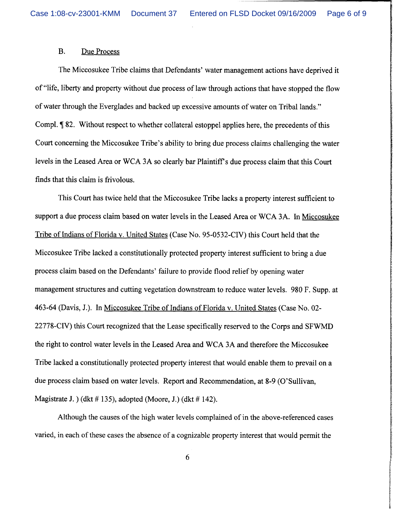## B. Due Process

The Miccosukee Tribe claims that Defendants' water management actions have deprived it of "life, liberty and property without due process of law through actions that have stopped the flow of water through the Everglades and backed up excessive amounts of water on Tribal lands." Compl. *7* 82. Without respect to whether collateral estoppel applies here, the precedents of this Court concerning the Miccosukee Tribe's ability to bring due process claims challenging the water levels in the Leased Area or WCA 3A so clearly bar Plaintiff's due process claim that this Court finds that this claim is frivolous.

This Court has twice held that the Miccosukee Tribe lacks a property interest sufficient to support a due process claim based on water levels in the Leased Area or WCA 3A. In Miccosukee Tribe of Indians of Florida v. United States (Case No. 95-0532-CIV) this Court held that the Miccosukee Tribe lacked a constitutionally protected property interest sufficient to bring a due process claim based on the Defendants' failure to provide flood relief by opening water management structures and cutting vegetation downstream to reduce water levels. 980 F. Supp. at 463-64 (Davis, J.). In Miccosukee Tribe of Indians of Florida v. United States (Case No. 02- 22778-CIV) this Court recognized that the Lease specifically reserved to the Corps and SFWMD the right to control water levels in the Leased Area and WCA 3A and therefore the Miccosukee Tribe lacked a constitutionally protected property interest that would enable them to prevail on a due process claim based on water levels. Report and Recommendation, at 8-9 (O'Sullivan, Magistrate J. ) (dkt  $\#$  135), adopted (Moore, J.) (dkt  $\#$  142).

Although the causes of the high water levels complained of in the above-referenced cases varied, in each of these cases the absence of a cognizable property interest that would permit the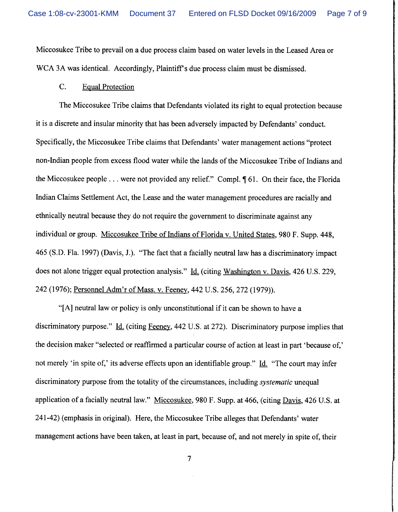Miccosukee Tribe to prevail on a due process claim based on water levels in the Leased Area or WCA 3A was identical. Accordingly, Plaintiff's due process claim must be dismissed.

## C. Equal Protection

The Miccosukee Tribe claims that Defendants violated its right to equal protection because it is a discrete and insular minority that has been adversely impacted by Defendants' conduct. Specifically, the Miccosukee Tribe claims that Defendants' water management actions "protect non-Indian people from excess flood water while the lands of the Miccosukee Tribe of Indians and the Miccosukee people . . . were not provided any relief." Compl. *7* 61. On their face, the Florida Indian Claims Settlement Act, the Lease and the water management procedures are racially and ethnically neutral because they do not require the government to discriminate against any individual or group. Miccosukee Tribe of Indians of Florida v. United States, 980 F. Supp. 448, 465 (S.D. Fla. 1997) (Davis, J.). "The fact that a facially neutral law has a discriminatory impact does not alone trigger equal protection analysis." Id. (citing Washington v. Davis, 426 U.S. 229, 242 (1976); Personnel Adm'r of Mass. v. Feeney, 442 U.S. 256,272 (1979)).

"[A] neutral law or policy is only unconstitutional if it can be shown to have a discriminatory purpose."  $\underline{Id}$ . (citing Feeney, 442 U.S. at 272). Discriminatory purpose implies that the decision maker "selected or reaffirmed a particular course of action at least in part 'because of,' not merely 'in spite of,' its adverse effects upon an identifiable group." Id. "The court may infer discriminatory purpose from the totality of the circumstances, including *systematic* unequal application of a facially neutral law." Miccosukee, 980 F. Supp. at 466, (citing Davis, 426 U.S. at 24 1-42) (emphasis in original). Here, the Miccosukee Tribe alleges that Defendants' water management actions have been taken, at least in part, because of, and not merely in spite of, their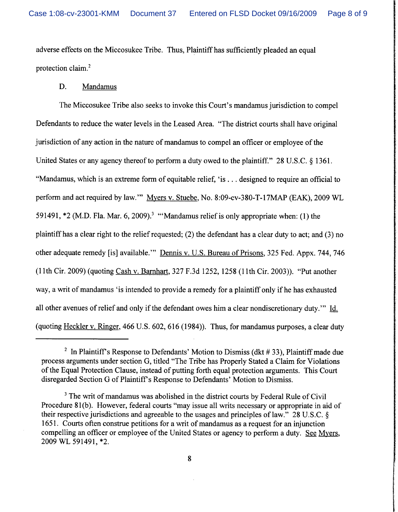adverse effects on the Miccosukee Tribe. Thus, Plaintiff has sufficiently pleaded an equal protection claim.2

### D. Mandamus

The Miccosukee Tribe also seeks to invoke this Court's mandamus jurisdiction to compel Defendants to reduce the water levels in the Leased Area. "The district courts shall have original jurisdiction of any action in the nature of mandamus to compel an officer or employee of the United States or any agency thereof to perform a duty owed to the plaintiff." 28 U.S.C. § 1361. "Mandamus, which is an extreme form of equitable relief, 'is . . . designed to require an official to perform and act required by law."' Myers v. Stuebe, No. 8:09-cv-380-T-17MAP (EAK), 2009 WL 591491, **\*2** (M.D. Fla. Mar. 6, 2009).3 '"Mandamus relief is only appropriate when: (I) the plaintiff has a clear right to the relief requested; (2) the defendant has a clear duty to act; and (3) no other adequate remedy [is] available."' Dennis v. U.S. Bureau of Prisons, 325 Fed. Appx. 744, 746 (1 lth Cir. 2009) (quoting Cash v. Barnhart, 327 F.3d 1252, 1258 (1 lth Cir. 2003)). "Put another way, a writ of mandamus 'is intended to provide a remedy for a plaintiff only if he has exhausted all other avenues of relief and only if the defendant owes him a clear nondiscretionary duty."' Id. (quoting Heckler v. Ringer, 466 U.S. 602, 616 (1984)). Thus, for mandamus purposes, a clear duty

<sup>&</sup>lt;sup>2</sup> In Plaintiff's Response to Defendants' Motion to Dismiss (dkt  $# 33$ ), Plaintiff made due process arguments under section G, titled "The Tribe has Properly Stated a Claim for Violations of the Equal Protection Clause, instead of putting forth equal protection arguments. This Court disregarded Section G of Plaintiff's Response to Defendants' Motion to Dismiss.

<sup>&</sup>lt;sup>3</sup> The writ of mandamus was abolished in the district courts by Federal Rule of Civil Procedure 81(b). However, federal courts "may issue all writs necessary or appropriate in aid of their respective jurisdictions and agreeable to the usages and principles of law.'' 28 U.S.C. 5 165 1. Courts often construe petitions for a writ of mandamus as a request for an injunction compelling an officer or employee of the United States or agency to perform a duty. See Myers, 2009 WL 591491, \*2.